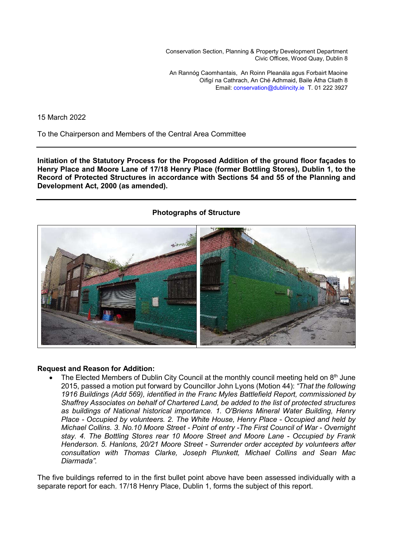Conservation Section, Planning & Property Development Department Civic Offices, Wood Quay, Dublin 8

An Rannóg Caomhantais, An Roinn Pleanála agus Forbairt Maoine Oifigí na Cathrach, An Ché Adhmaid, Baile Átha Cliath 8 Email: conservation@dublincity.ie T. 01 222 3927

15 March 2022

To the Chairperson and Members of the Central Area Committee

**Initiation of the Statutory Process for the Proposed Addition of the ground floor façades to Henry Place and Moore Lane of 17/18 Henry Place (former Bottling Stores), Dublin 1, to the Record of Protected Structures in accordance with Sections 54 and 55 of the Planning and Development Act, 2000 (as amended).** 

## **Photographs of Structure**



## **Request and Reason for Addition:**

The Elected Members of Dublin City Council at the monthly council meeting held on  $8<sup>th</sup>$  June 2015, passed a motion put forward by Councillor John Lyons (Motion 44): *"That the following 1916 Buildings (Add 569), identified in the Franc Myles Battlefield Report, commissioned by Shaffrey Associates on behalf of Chartered Land, be added to the list of protected structures as buildings of National historical importance. 1. O'Briens Mineral Water Building, Henry Place - Occupied by volunteers. 2. The White House, Henry Place - Occupied and held by Michael Collins. 3. No.10 Moore Street - Point of entry -The First Council of War - Overnight stay. 4. The Bottling Stores rear 10 Moore Street and Moore Lane - Occupied by Frank Henderson. 5. Hanlons, 20/21 Moore Street - Surrender order accepted by volunteers after consultation with Thomas Clarke, Joseph Plunkett, Michael Collins and Sean Mac Diarmada".*

The five buildings referred to in the first bullet point above have been assessed individually with a separate report for each. 17/18 Henry Place, Dublin 1, forms the subject of this report.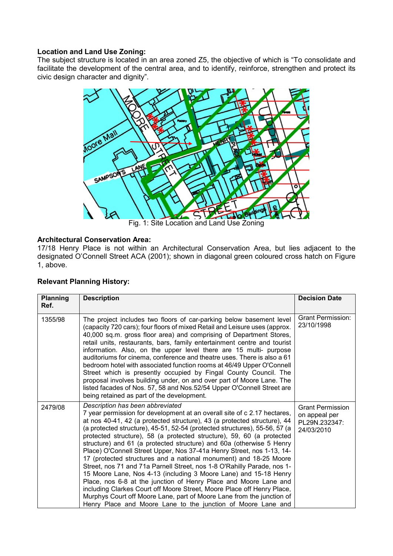# **Location and Land Use Zoning:**

The subject structure is located in an area zoned Z5, the objective of which is "To consolidate and facilitate the development of the central area, and to identify, reinforce, strengthen and protect its civic design character and dignity".



## **Architectural Conservation Area:**

17/18 Henry Place is not within an Architectural Conservation Area, but lies adjacent to the designated O'Connell Street ACA (2001); shown in diagonal green coloured cross hatch on Figure 1, above.

|  | <b>Relevant Planning History:</b> |  |
|--|-----------------------------------|--|
|--|-----------------------------------|--|

| <b>Planning</b><br>Ref. | <b>Description</b>                                                                                                                                                                                                                                                                                                                                                                                                                                                                                                                                                                                                                                                                                                                                                                                                                                                                                                                                                                                          | <b>Decision Date</b>                                                    |
|-------------------------|-------------------------------------------------------------------------------------------------------------------------------------------------------------------------------------------------------------------------------------------------------------------------------------------------------------------------------------------------------------------------------------------------------------------------------------------------------------------------------------------------------------------------------------------------------------------------------------------------------------------------------------------------------------------------------------------------------------------------------------------------------------------------------------------------------------------------------------------------------------------------------------------------------------------------------------------------------------------------------------------------------------|-------------------------------------------------------------------------|
| 1355/98                 | The project includes two floors of car-parking below basement level<br>(capacity 720 cars); four floors of mixed Retail and Leisure uses (approx.<br>40,000 sq.m. gross floor area) and comprising of Department Stores,<br>retail units, restaurants, bars, family entertainment centre and tourist<br>information. Also, on the upper level there are 15 multi- purpose<br>auditoriums for cinema, conference and theatre uses. There is also a 61<br>bedroom hotel with associated function rooms at 46/49 Upper O'Connell<br>Street which is presently occupied by Fingal County Council. The<br>proposal involves building under, on and over part of Moore Lane. The<br>listed facades of Nos. 57, 58 and Nos.52/54 Upper O'Connell Street are<br>being retained as part of the development.                                                                                                                                                                                                          | <b>Grant Permission:</b><br>23/10/1998                                  |
| 2479/08                 | Description has been abbreviated<br>7 year permission for development at an overall site of c 2.17 hectares,<br>at nos 40-41, 42 (a protected structure), 43 (a protected structure), 44<br>(a protected structure), 45-51, 52-54 (protected structures), 55-56, 57 (a<br>protected structure), 58 (a protected structure), 59, 60 (a protected<br>structure) and 61 (a protected structure) and 60a (otherwise 5 Henry<br>Place) O'Connell Street Upper, Nos 37-41a Henry Street, nos 1-13, 14-<br>17 (protected structures and a national monument) and 18-25 Moore<br>Street, nos 71 and 71a Parnell Street, nos 1-8 O'Rahilly Parade, nos 1-<br>15 Moore Lane, Nos 4-13 (including 3 Moore Lane) and 15-18 Henry<br>Place, nos 6-8 at the junction of Henry Place and Moore Lane and<br>including Clarkes Court off Moore Street, Moore Place off Henry Place,<br>Murphys Court off Moore Lane, part of Moore Lane from the junction of<br>Henry Place and Moore Lane to the junction of Moore Lane and | <b>Grant Permission</b><br>on appeal per<br>PL29N.232347:<br>24/03/2010 |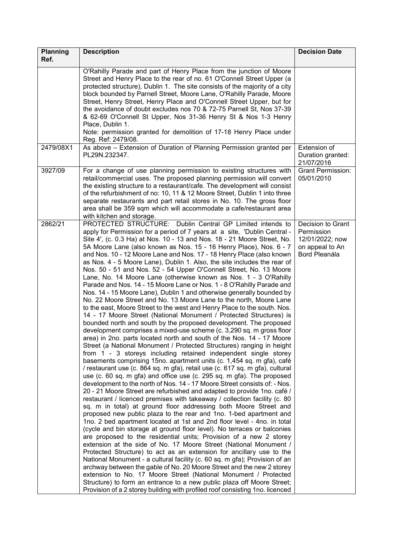| <b>Planning</b> | <b>Description</b>                                                                                                                                                                                                                                                                                                                                                                                                                                                                                                                                                                                                                                                                                                                                                                                                                                                                                                                                                                                                                                                                                                                                                                                                                                                                                                                                                                                                                                                                                                                                                                                                                                                                                                                                                                                                                                                                                                                                                                                                                                                                                                                                                                                                                                                                                                                                                                                                                                                                                                                                                                                                                                                                                                 | <b>Decision Date</b>                                                                   |
|-----------------|--------------------------------------------------------------------------------------------------------------------------------------------------------------------------------------------------------------------------------------------------------------------------------------------------------------------------------------------------------------------------------------------------------------------------------------------------------------------------------------------------------------------------------------------------------------------------------------------------------------------------------------------------------------------------------------------------------------------------------------------------------------------------------------------------------------------------------------------------------------------------------------------------------------------------------------------------------------------------------------------------------------------------------------------------------------------------------------------------------------------------------------------------------------------------------------------------------------------------------------------------------------------------------------------------------------------------------------------------------------------------------------------------------------------------------------------------------------------------------------------------------------------------------------------------------------------------------------------------------------------------------------------------------------------------------------------------------------------------------------------------------------------------------------------------------------------------------------------------------------------------------------------------------------------------------------------------------------------------------------------------------------------------------------------------------------------------------------------------------------------------------------------------------------------------------------------------------------------------------------------------------------------------------------------------------------------------------------------------------------------------------------------------------------------------------------------------------------------------------------------------------------------------------------------------------------------------------------------------------------------------------------------------------------------------------------------------------------------|----------------------------------------------------------------------------------------|
| Ref.            |                                                                                                                                                                                                                                                                                                                                                                                                                                                                                                                                                                                                                                                                                                                                                                                                                                                                                                                                                                                                                                                                                                                                                                                                                                                                                                                                                                                                                                                                                                                                                                                                                                                                                                                                                                                                                                                                                                                                                                                                                                                                                                                                                                                                                                                                                                                                                                                                                                                                                                                                                                                                                                                                                                                    |                                                                                        |
|                 | O'Rahilly Parade and part of Henry Place from the junction of Moore<br>Street and Henry Place to the rear of no. 61 O'Connell Street Upper (a<br>protected structure), Dublin 1. The site consists of the majority of a city<br>block bounded by Parnell Street, Moore Lane, O'Rahilly Parade, Moore<br>Street, Henry Street, Henry Place and O'Connell Street Upper, but for<br>the avoidance of doubt excludes nos 70 & 72-75 Parnell St, Nos 37-39<br>& 62-69 O'Connell St Upper, Nos 31-36 Henry St & Nos 1-3 Henry<br>Place, Dublin 1.<br>Note: permission granted for demolition of 17-18 Henry Place under<br>Reg. Ref: 2479/08.                                                                                                                                                                                                                                                                                                                                                                                                                                                                                                                                                                                                                                                                                                                                                                                                                                                                                                                                                                                                                                                                                                                                                                                                                                                                                                                                                                                                                                                                                                                                                                                                                                                                                                                                                                                                                                                                                                                                                                                                                                                                            |                                                                                        |
| 2479/08X1       | As above - Extension of Duration of Planning Permission granted per<br>PL29N.232347.                                                                                                                                                                                                                                                                                                                                                                                                                                                                                                                                                                                                                                                                                                                                                                                                                                                                                                                                                                                                                                                                                                                                                                                                                                                                                                                                                                                                                                                                                                                                                                                                                                                                                                                                                                                                                                                                                                                                                                                                                                                                                                                                                                                                                                                                                                                                                                                                                                                                                                                                                                                                                               | Extension of<br>Duration granted:<br>21/07/2016                                        |
| 3927/09         | For a change of use planning permission to existing structures with<br>retail/commercial uses. The proposed planning permission will convert<br>the existing structure to a restaurant/cafe. The development will consist<br>of the refurbishment of no: 10, 11 & 12 Moore Street, Dublin 1 into three<br>separate restaurants and part retail stores in No. 10. The gross floor<br>area shall be 359 sqm which will accommodate a cafe/restaurant area<br>with kitchen and storage.                                                                                                                                                                                                                                                                                                                                                                                                                                                                                                                                                                                                                                                                                                                                                                                                                                                                                                                                                                                                                                                                                                                                                                                                                                                                                                                                                                                                                                                                                                                                                                                                                                                                                                                                                                                                                                                                                                                                                                                                                                                                                                                                                                                                                               | <b>Grant Permission:</b><br>05/01/2010                                                 |
| 2862/21         | PROTECTED STRUCTURE:<br>Dublin Central GP Limited intends to<br>apply for Permission for a period of 7 years at a site, 'Dublin Central -<br>Site 4', (c. 0.3 Ha) at Nos. 10 - 13 and Nos. 18 - 21 Moore Street, No.<br>5A Moore Lane (also known as Nos. 15 - 16 Henry Place), Nos. 6 - 7<br>and Nos. 10 - 12 Moore Lane and Nos. 17 - 18 Henry Place (also known<br>as Nos. 4 - 5 Moore Lane), Dublin 1. Also, the site includes the rear of<br>Nos. 50 - 51 and Nos. 52 - 54 Upper O'Connell Street, No. 13 Moore<br>Lane, No. 14 Moore Lane (otherwise known as Nos. 1 - 3 O'Rahilly<br>Parade and Nos. 14 - 15 Moore Lane or Nos. 1 - 8 O'Rahilly Parade and<br>Nos. 14 - 15 Moore Lane), Dublin 1 and otherwise generally bounded by<br>No. 22 Moore Street and No. 13 Moore Lane to the north, Moore Lane<br>to the east, Moore Street to the west and Henry Place to the south. Nos.<br>14 - 17 Moore Street (National Monument / Protected Structures) is<br>bounded north and south by the proposed development. The proposed<br>development comprises a mixed-use scheme (c. 3,290 sq. m gross floor<br>area) in 2no. parts located north and south of the Nos. 14 - 17 Moore<br>Street (a National Monument / Protected Structures) ranging in height<br>from 1 - 3 storeys including retained independent single storey<br>basements comprising 15no. apartment units (c. 1,454 sq. m gfa), café<br>/ restaurant use (c. 864 sq. m gfa), retail use (c. 617 sq. m gfa), cultural<br>use (c. 60 sq. m gfa) and office use (c. 295 sq. m gfa). The proposed<br>development to the north of Nos. 14 - 17 Moore Street consists of: - Nos.<br>20 - 21 Moore Street are refurbished and adapted to provide 1no. café /<br>restaurant / licenced premises with takeaway / collection facility (c. 80<br>sq. m in total) at ground floor addressing both Moore Street and<br>proposed new public plaza to the rear and 1no. 1-bed apartment and<br>1no. 2 bed apartment located at 1st and 2nd floor level - 4no. in total<br>(cycle and bin storage at ground floor level). No terraces or balconies<br>are proposed to the residential units; Provision of a new 2 storey<br>extension at the side of No. 17 Moore Street (National Monument /<br>Protected Structure) to act as an extension for ancillary use to the<br>National Monument - a cultural facility (c. 60 sq. m gfa); Provision of an<br>archway between the gable of No. 20 Moore Street and the new 2 storey<br>extension to No. 17 Moore Street (National Monument / Protected<br>Structure) to form an entrance to a new public plaza off Moore Street;<br>Provision of a 2 storey building with profiled roof consisting 1no. licenced | Decision to Grant<br>Permission<br>12/01/2022; now<br>on appeal to An<br>Bord Pleanála |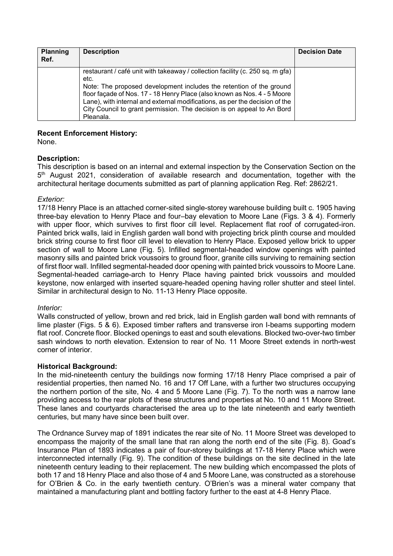| <b>Planning</b><br>Ref. | <b>Description</b>                                                                                                                                                                                                                                                                                                                                                                                             | <b>Decision Date</b> |
|-------------------------|----------------------------------------------------------------------------------------------------------------------------------------------------------------------------------------------------------------------------------------------------------------------------------------------------------------------------------------------------------------------------------------------------------------|----------------------|
|                         | restaurant / café unit with takeaway / collection facility (c. 250 sq. m gfa)<br>etc.<br>Note: The proposed development includes the retention of the ground<br>floor façade of Nos. 17 - 18 Henry Place (also known as Nos. 4 - 5 Moore<br>Lane), with internal and external modifications, as per the decision of the<br>City Council to grant permission. The decision is on appeal to An Bord<br>Pleanala. |                      |

## **Recent Enforcement History:**

None.

# **Description:**

This description is based on an internal and external inspection by the Conservation Section on the 5<sup>th</sup> August 2021, consideration of available research and documentation, together with the architectural heritage documents submitted as part of planning application Reg. Ref: 2862/21.

# *Exterior:*

17/18 Henry Place is an attached corner-sited single-storey warehouse building built c. 1905 having three-bay elevation to Henry Place and four–bay elevation to Moore Lane (Figs. 3 & 4). Formerly with upper floor, which survives to first floor cill level. Replacement flat roof of corrugated-iron. Painted brick walls, laid in English garden wall bond with projecting brick plinth course and moulded brick string course to first floor cill level to elevation to Henry Place. Exposed yellow brick to upper section of wall to Moore Lane (Fig. 5). Infilled segmental-headed window openings with painted masonry sills and painted brick voussoirs to ground floor, granite cills surviving to remaining section of first floor wall. Infilled segmental-headed door opening with painted brick voussoirs to Moore Lane. Segmental-headed carriage-arch to Henry Place having painted brick voussoirs and moulded keystone, now enlarged with inserted square-headed opening having roller shutter and steel lintel. Similar in architectural design to No. 11-13 Henry Place opposite.

# *Interior:*

Walls constructed of yellow, brown and red brick, laid in English garden wall bond with remnants of lime plaster (Figs. 5 & 6). Exposed timber rafters and transverse iron I-beams supporting modern flat roof. Concrete floor. Blocked openings to east and south elevations. Blocked two-over-two timber sash windows to north elevation. Extension to rear of No. 11 Moore Street extends in north-west corner of interior.

# **Historical Background:**

In the mid-nineteenth century the buildings now forming 17/18 Henry Place comprised a pair of residential properties, then named No. 16 and 17 Off Lane, with a further two structures occupying the northern portion of the site, No. 4 and 5 Moore Lane (Fig. 7). To the north was a narrow lane providing access to the rear plots of these structures and properties at No. 10 and 11 Moore Street. These lanes and courtyards characterised the area up to the late nineteenth and early twentieth centuries, but many have since been built over.

The Ordnance Survey map of 1891 indicates the rear site of No. 11 Moore Street was developed to encompass the majority of the small lane that ran along the north end of the site (Fig. 8). Goad's Insurance Plan of 1893 indicates a pair of four-storey buildings at 17-18 Henry Place which were interconnected internally (Fig. 9). The condition of these buildings on the site declined in the late nineteenth century leading to their replacement. The new building which encompassed the plots of both 17 and 18 Henry Place and also those of 4 and 5 Moore Lane, was constructed as a storehouse for O'Brien & Co. in the early twentieth century. O'Brien's was a mineral water company that maintained a manufacturing plant and bottling factory further to the east at 4-8 Henry Place.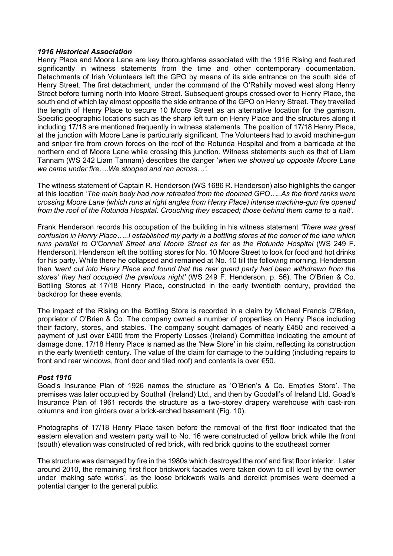## *1916 Historical Association*

Henry Place and Moore Lane are key thoroughfares associated with the 1916 Rising and featured significantly in witness statements from the time and other contemporary documentation. Detachments of Irish Volunteers left the GPO by means of its side entrance on the south side of Henry Street. The first detachment, under the command of the O'Rahilly moved west along Henry Street before turning north into Moore Street. Subsequent groups crossed over to Henry Place, the south end of which lay almost opposite the side entrance of the GPO on Henry Street. They travelled the length of Henry Place to secure 10 Moore Street as an alternative location for the garrison. Specific geographic locations such as the sharp left turn on Henry Place and the structures along it including 17/18 are mentioned frequently in witness statements. The position of 17/18 Henry Place, at the junction with Moore Lane is particularly significant. The Volunteers had to avoid machine-gun and sniper fire from crown forces on the roof of the Rotunda Hospital and from a barricade at the northern end of Moore Lane while crossing this junction. Witness statements such as that of Liam Tannam (WS 242 Liam Tannam) describes the danger '*when we showed up opposite Moore Lane we came under fire….We stooped and ran across…'.*

The witness statement of Captain R. Henderson (WS 1686 R. Henderson) also highlights the danger at this location '*The main body had now retreated from the doomed GPO…..As the front ranks were crossing Moore Lane (which runs at right angles from Henry Place) intense machine-gun fire opened from the roof of the Rotunda Hospital. Crouching they escaped; those behind them came to a halt'*.

Frank Henderson records his occupation of the building in his witness statement *'There was great confusion in Henry Place…..I established my party in a bottling stores at the corner of the lane which*  runs parallel to O'Connell Street and Moore Street as far as the Rotunda Hospital (WS 249 F. Henderson)*.* Henderson left the bottling stores for No. 10 Moore Street to look for food and hot drinks for his party. While there he collapsed and remained at No. 10 till the following morning. Henderson then *'went out into Henry Place and found that the rear guard party had been withdrawn from the stores' they had occupied the previous night'* (WS 249 F. Henderson, p. 56). The O'Brien & Co. Bottling Stores at 17/18 Henry Place, constructed in the early twentieth century, provided the backdrop for these events.

The impact of the Rising on the Bottling Store is recorded in a claim by Michael Francis O'Brien, proprietor of O'Brien & Co. The company owned a number of properties on Henry Place including their factory, stores, and stables. The company sought damages of nearly £450 and received a payment of just over £400 from the Property Losses (Ireland) Committee indicating the amount of damage done. 17/18 Henry Place is named as the 'New Store' in his claim, reflecting its construction in the early twentieth century. The value of the claim for damage to the building (including repairs to front and rear windows, front door and tiled roof) and contents is over €50.

## *Post 1916*

Goad's Insurance Plan of 1926 names the structure as 'O'Brien's & Co. Empties Store'. The premises was later occupied by Southall (Ireland) Ltd., and then by Goodall's of Ireland Ltd. Goad's Insurance Plan of 1961 records the structure as a two-storey drapery warehouse with cast-iron columns and iron girders over a brick-arched basement (Fig. 10).

Photographs of 17/18 Henry Place taken before the removal of the first floor indicated that the eastern elevation and western party wall to No. 16 were constructed of yellow brick while the front (south) elevation was constructed of red brick, with red brick quoins to the southeast corner

The structure was damaged by fire in the 1980s which destroyed the roof and first floor interior. Later around 2010, the remaining first floor brickwork facades were taken down to cill level by the owner under 'making safe works', as the loose brickwork walls and derelict premises were deemed a potential danger to the general public.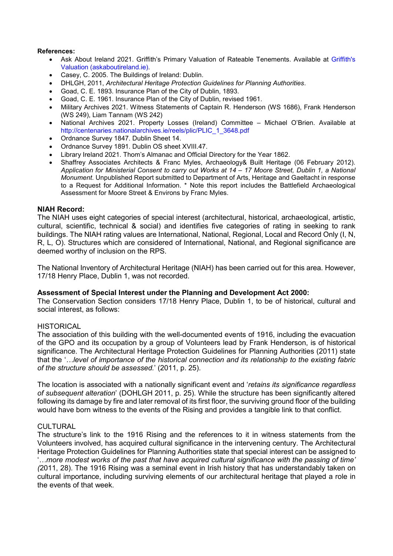#### **References:**

- Ask About Ireland 2021. Griffith's Primary Valuation of Rateable Tenements. Available at Griffith's Valuation (askaboutireland.ie).
- Casey, C. 2005. The Buildings of Ireland: Dublin.
- DHLGH, 2011, *Architectural Heritage Protection Guidelines for Planning Authorities*.
- Goad, C. E. 1893. Insurance Plan of the City of Dublin, 1893.
- Goad, C. E. 1961. Insurance Plan of the City of Dublin, revised 1961.
- Military Archives 2021. Witness Statements of Captain R. Henderson (WS 1686), Frank Henderson (WS 249), Liam Tannam (WS 242)
- National Archives 2021. Property Losses (Ireland) Committee Michael O'Brien. Available at http://centenaries.nationalarchives.ie/reels/plic/PLIC\_1\_3648.pdf
- Ordnance Survey 1847. Dublin Sheet 14.
- Ordnance Survey 1891. Dublin OS sheet XVIII.47.
- Library Ireland 2021. Thom's Almanac and Official Directory for the Year 1862.
- Shaffrey Associates Architects & Franc Myles, Archaeology& Built Heritage (06 February 2012). *Application for Ministerial Consent to carry out Works at 14 – 17 Moore Street, Dublin 1, a National Monument*. Unpublished Report submitted to Department of Arts, Heritage and Gaeltacht in response to a Request for Additional Information. \* Note this report includes the Battlefield Archaeological Assessment for Moore Street & Environs by Franc Myles.

#### **NIAH Record:**

The NIAH uses eight categories of special interest (architectural, historical, archaeological, artistic, cultural, scientific, technical & social) and identifies five categories of rating in seeking to rank buildings. The NIAH rating values are International, National, Regional, Local and Record Only (I, N, R, L, O). Structures which are considered of International, National, and Regional significance are deemed worthy of inclusion on the RPS.

The National Inventory of Architectural Heritage (NIAH) has been carried out for this area. However, 17/18 Henry Place, Dublin 1, was not recorded.

#### **Assessment of Special Interest under the Planning and Development Act 2000:**

The Conservation Section considers 17/18 Henry Place, Dublin 1, to be of historical, cultural and social interest, as follows:

## **HISTORICAL**

The association of this building with the well-documented events of 1916, including the evacuation of the GPO and its occupation by a group of Volunteers lead by Frank Henderson, is of historical significance. The Architectural Heritage Protection Guidelines for Planning Authorities (2011) state that the '*…level of importance of the historical connection and its relationship to the existing fabric of the structure should be assessed.*' (2011, p. 25).

The location is associated with a nationally significant event and '*retains its significance regardless of subsequent alteration*' (DOHLGH 2011, p. 25). While the structure has been significantly altered following its damage by fire and later removal of its first floor, the surviving ground floor of the building would have born witness to the events of the Rising and provides a tangible link to that conflict.

#### CULTURAL

The structure's link to the 1916 Rising and the references to it in witness statements from the Volunteers involved, has acquired cultural significance in the intervening century. The Architectural Heritage Protection Guidelines for Planning Authorities state that special interest can be assigned to '*…more modest works of the past that have acquired cultural significance with the passing of time' (*2011, 28). The 1916 Rising was a seminal event in Irish history that has understandably taken on cultural importance, including surviving elements of our architectural heritage that played a role in the events of that week.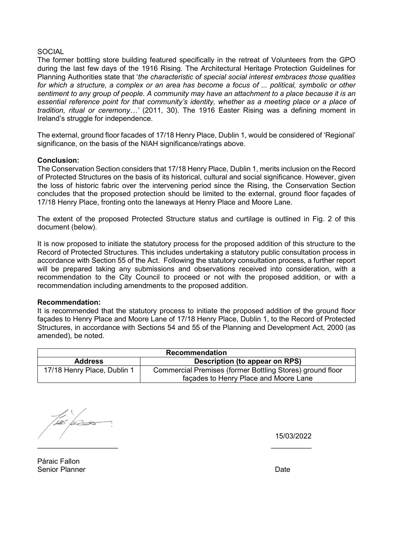## **SOCIAL**

The former bottling store building featured specifically in the retreat of Volunteers from the GPO during the last few days of the 1916 Rising. The Architectural Heritage Protection Guidelines for Planning Authorities state that '*the characteristic of special social interest embraces those qualities for which a structure, a complex or an area has become a focus of ... political, symbolic or other sentiment to any group of people. A community may have an attachment to a place because it is an essential reference point for that community's identity, whether as a meeting place or a place of tradition, ritual or ceremony…'* (2011, 30). The 1916 Easter Rising was a defining moment in Ireland's struggle for independence.

The external, ground floor facades of 17/18 Henry Place, Dublin 1, would be considered of 'Regional' significance, on the basis of the NIAH significance/ratings above.

## **Conclusion:**

The Conservation Section considers that 17/18 Henry Place, Dublin 1, merits inclusion on the Record of Protected Structures on the basis of its historical, cultural and social significance. However, given the loss of historic fabric over the intervening period since the Rising, the Conservation Section concludes that the proposed protection should be limited to the external, ground floor façades of 17/18 Henry Place, fronting onto the laneways at Henry Place and Moore Lane.

The extent of the proposed Protected Structure status and curtilage is outlined in Fig. 2 of this document (below).

It is now proposed to initiate the statutory process for the proposed addition of this structure to the Record of Protected Structures. This includes undertaking a statutory public consultation process in accordance with Section 55 of the Act. Following the statutory consultation process, a further report will be prepared taking any submissions and observations received into consideration, with a recommendation to the City Council to proceed or not with the proposed addition, or with a recommendation including amendments to the proposed addition.

## **Recommendation:**

It is recommended that the statutory process to initiate the proposed addition of the ground floor façades to Henry Place and Moore Lane of 17/18 Henry Place, Dublin 1, to the Record of Protected Structures, in accordance with Sections 54 and 55 of the Planning and Development Act, 2000 (as amended), be noted.

| <b>Recommendation</b>       |                                                                                                    |  |
|-----------------------------|----------------------------------------------------------------------------------------------------|--|
| <b>Address</b>              | Description (to appear on RPS)                                                                     |  |
| 17/18 Henry Place, Dublin 1 | Commercial Premises (former Bottling Stores) ground floor<br>façades to Henry Place and Moore Lane |  |

\_\_\_\_\_\_\_\_\_\_\_\_\_\_\_\_\_\_\_\_ \_\_\_\_\_\_\_\_\_\_

15/03/2022

Páraic Fallon Senior Planner **Date**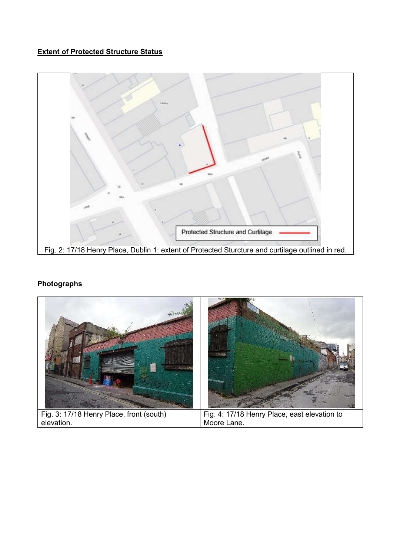# **Extent of Protected Structure Status**



# **Photographs**